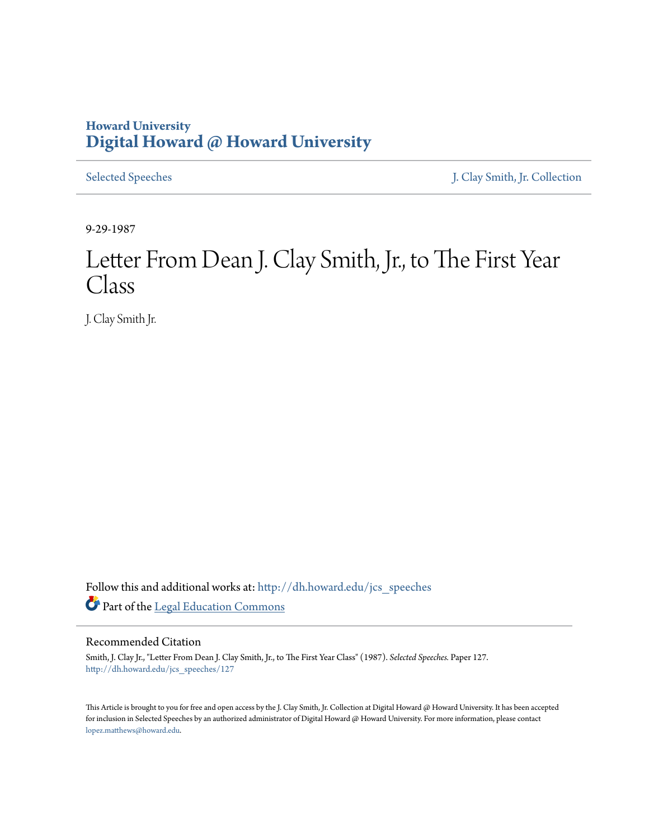## **Howard University [Digital Howard @ Howard University](http://dh.howard.edu?utm_source=dh.howard.edu%2Fjcs_speeches%2F127&utm_medium=PDF&utm_campaign=PDFCoverPages)**

[Selected Speeches](http://dh.howard.edu/jcs_speeches?utm_source=dh.howard.edu%2Fjcs_speeches%2F127&utm_medium=PDF&utm_campaign=PDFCoverPages) [J. Clay Smith, Jr. Collection](http://dh.howard.edu/jcsmith?utm_source=dh.howard.edu%2Fjcs_speeches%2F127&utm_medium=PDF&utm_campaign=PDFCoverPages)

9-29-1987

## Letter From Dean J. Clay Smith, Jr., to The First Year Class

J. Clay Smith Jr.

Follow this and additional works at: [http://dh.howard.edu/jcs\\_speeches](http://dh.howard.edu/jcs_speeches?utm_source=dh.howard.edu%2Fjcs_speeches%2F127&utm_medium=PDF&utm_campaign=PDFCoverPages) Part of the [Legal Education Commons](http://network.bepress.com/hgg/discipline/857?utm_source=dh.howard.edu%2Fjcs_speeches%2F127&utm_medium=PDF&utm_campaign=PDFCoverPages)

## Recommended Citation

Smith, J. Clay Jr., "Letter From Dean J. Clay Smith, Jr., to The First Year Class" (1987). *Selected Speeches.* Paper 127. [http://dh.howard.edu/jcs\\_speeches/127](http://dh.howard.edu/jcs_speeches/127?utm_source=dh.howard.edu%2Fjcs_speeches%2F127&utm_medium=PDF&utm_campaign=PDFCoverPages)

This Article is brought to you for free and open access by the J. Clay Smith, Jr. Collection at Digital Howard @ Howard University. It has been accepted for inclusion in Selected Speeches by an authorized administrator of Digital Howard @ Howard University. For more information, please contact [lopez.matthews@howard.edu.](mailto:lopez.matthews@howard.edu)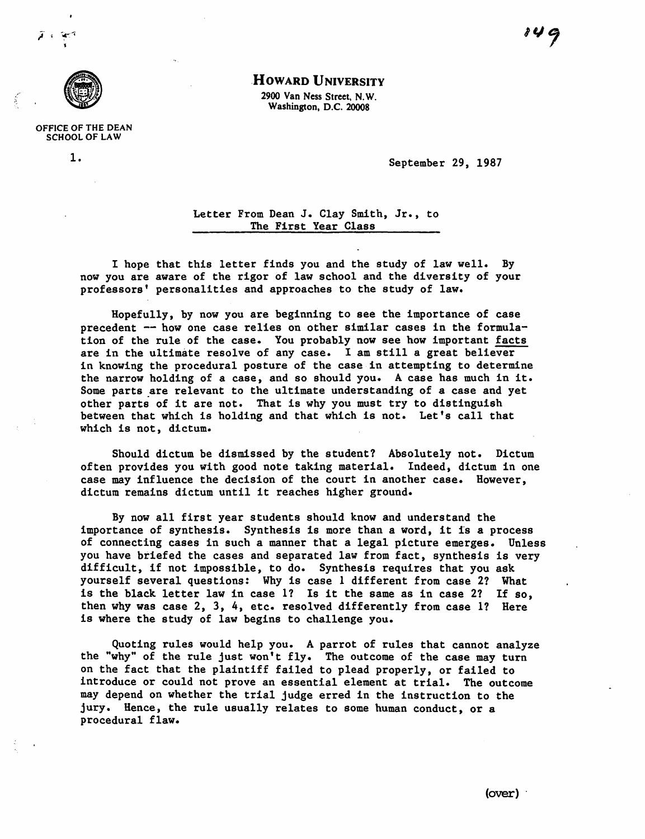

OFFICE OF THE DEAN SCHOOL OF LAW

## .HOWARD UNIVERSITY

2900 Van Ness Street. N. W. Washington, D.C. 20008

1. September 29, 1987

Letter From Dean J. Clay Smith, Jr., to The First Year Class

I hope that this letter finds you and the study of law well. By now you are aware of the rigor of law school and the diversity of your professors' personalities and approaches to the study of law.

Hopefully, by now you are beginning to see the importance of case precedent -- how one case relies on other similar cases in the formulation of the rule of the case. You probably now see how important facts are in the ultimate resolve of any case. I am still a great believer in knowing the procedural posture of the case in attempting to determine the narrow holding of a case, and so should you. A case has much in it. Some parts are relevant to the ultimate understanding of a case and yet other parts of it are not. That is why you must try to distinguish between that which is holding and that which is not. Let's call that which is not, dictum.

Should dictum be dismissed by the student? Absolutely not. Dictum often provides you with good note taking material. Indeed, dictum in one case may influence the decision of the court in another case. However, dictum remains dictum until it reaches higher ground.

By now all first year students should know and understand the importance of synthesis. Synthesis is more than a word, it is a process of connecting cases in such a manner that a legal picture emerges. Unless you have briefed the cases and separated law from fact, synthesis is very difficult, if not impossible, to do. Synthesis requires that you ask yourself several questions: Why is case 1 different from case 21 What is the black letter law in case  $1$ ? Is it the same as in case 2? If so, then why was case  $2$ ,  $3$ ,  $4$ , etc. resolved differently from case 1? Here is where the study of law begins to challenge you.

Quoting rules would help you. A parrot of rules that cannot analyze the "why" of the rule just won't fly. The outcome of the case may turn on the fact that the plaintiff failed to plead properly, or failed to introduce or could not prove an essential element at trial. The outcome may depend on whether the trial judge erred in the instruction to the jury. Hence, the rule usually relates to some human conduct, or a procedural flaw.